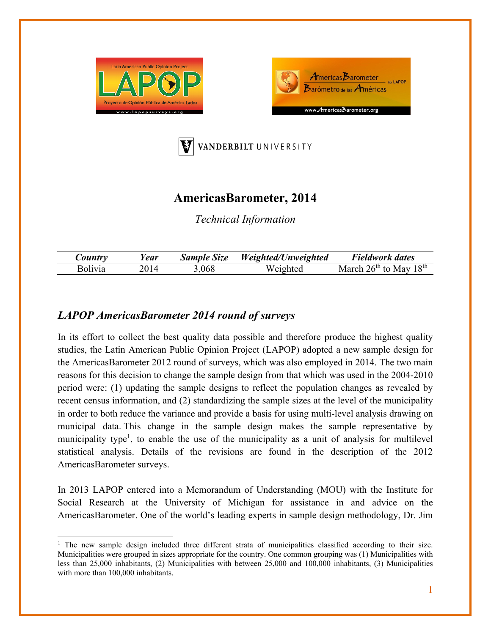





## **AmericasBarometer, 2014**

*Technical Information* 

| $\mathcal{L}$ <i>ountry</i> | ear | <b>Sample Size</b> | Weighted/Unweighted | Fieldwork dates                  |
|-----------------------------|-----|--------------------|---------------------|----------------------------------|
| <b>Bolivia</b>              |     | .068               | Weighted            | March $26^{th}$ to May $18^{th}$ |

## *LAPOP AmericasBarometer 2014 round of surveys*

In its effort to collect the best quality data possible and therefore produce the highest quality studies, the Latin American Public Opinion Project (LAPOP) adopted a new sample design for the AmericasBarometer 2012 round of surveys, which was also employed in 2014. The two main reasons for this decision to change the sample design from that which was used in the 2004-2010 period were: (1) updating the sample designs to reflect the population changes as revealed by recent census information, and (2) standardizing the sample sizes at the level of the municipality in order to both reduce the variance and provide a basis for using multi-level analysis drawing on municipal data. This change in the sample design makes the sample representative by municipality type<sup>1</sup>, to enable the use of the municipality as a unit of analysis for multilevel statistical analysis. Details of the revisions are found in the description of the 2012 AmericasBarometer surveys.

In 2013 LAPOP entered into a Memorandum of Understanding (MOU) with the Institute for Social Research at the University of Michigan for assistance in and advice on the AmericasBarometer. One of the world's leading experts in sample design methodology, Dr. Jim

<sup>&</sup>lt;sup>1</sup> The new sample design included three different strata of municipalities classified according to their size. Municipalities were grouped in sizes appropriate for the country. One common grouping was (1) Municipalities with less than 25,000 inhabitants, (2) Municipalities with between 25,000 and 100,000 inhabitants, (3) Municipalities with more than 100,000 inhabitants.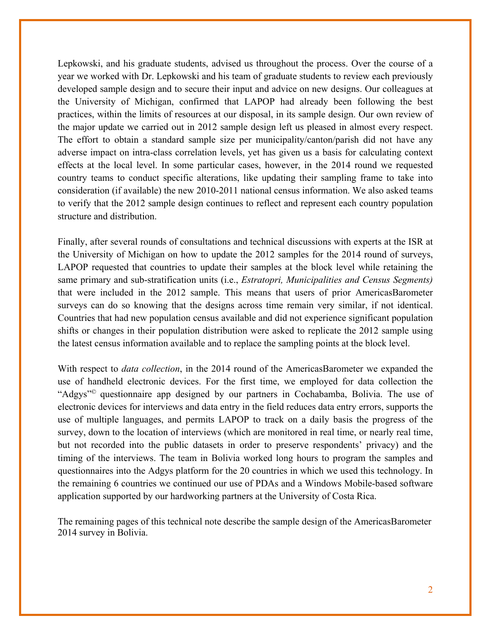Lepkowski, and his graduate students, advised us throughout the process. Over the course of a year we worked with Dr. Lepkowski and his team of graduate students to review each previously developed sample design and to secure their input and advice on new designs. Our colleagues at the University of Michigan, confirmed that LAPOP had already been following the best practices, within the limits of resources at our disposal, in its sample design. Our own review of the major update we carried out in 2012 sample design left us pleased in almost every respect. The effort to obtain a standard sample size per municipality/canton/parish did not have any adverse impact on intra-class correlation levels, yet has given us a basis for calculating context effects at the local level. In some particular cases, however, in the 2014 round we requested country teams to conduct specific alterations, like updating their sampling frame to take into consideration (if available) the new 2010-2011 national census information. We also asked teams to verify that the 2012 sample design continues to reflect and represent each country population structure and distribution.

Finally, after several rounds of consultations and technical discussions with experts at the ISR at the University of Michigan on how to update the 2012 samples for the 2014 round of surveys, LAPOP requested that countries to update their samples at the block level while retaining the same primary and sub-stratification units (i.e., *Estratopri, Municipalities and Census Segments)*  that were included in the 2012 sample. This means that users of prior AmericasBarometer surveys can do so knowing that the designs across time remain very similar, if not identical. Countries that had new population census available and did not experience significant population shifts or changes in their population distribution were asked to replicate the 2012 sample using the latest census information available and to replace the sampling points at the block level.

With respect to *data collection*, in the 2014 round of the AmericasBarometer we expanded the use of handheld electronic devices. For the first time, we employed for data collection the "Adgys"© questionnaire app designed by our partners in Cochabamba, Bolivia. The use of electronic devices for interviews and data entry in the field reduces data entry errors, supports the use of multiple languages, and permits LAPOP to track on a daily basis the progress of the survey, down to the location of interviews (which are monitored in real time, or nearly real time, but not recorded into the public datasets in order to preserve respondents' privacy) and the timing of the interviews. The team in Bolivia worked long hours to program the samples and questionnaires into the Adgys platform for the 20 countries in which we used this technology. In the remaining 6 countries we continued our use of PDAs and a Windows Mobile-based software application supported by our hardworking partners at the University of Costa Rica.

The remaining pages of this technical note describe the sample design of the AmericasBarometer 2014 survey in Bolivia.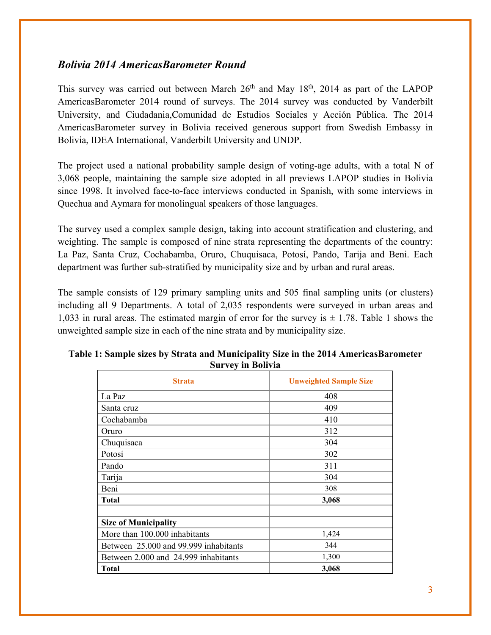## *Bolivia 2014 AmericasBarometer Round*

This survey was carried out between March  $26<sup>th</sup>$  and May  $18<sup>th</sup>$ ,  $2014$  as part of the LAPOP AmericasBarometer 2014 round of surveys. The 2014 survey was conducted by Vanderbilt University, and Ciudadania,Comunidad de Estudios Sociales y Acción Pública. The 2014 AmericasBarometer survey in Bolivia received generous support from Swedish Embassy in Bolivia, IDEA International, Vanderbilt University and UNDP.

The project used a national probability sample design of voting-age adults, with a total N of 3,068 people, maintaining the sample size adopted in all previews LAPOP studies in Bolivia since 1998. It involved face-to-face interviews conducted in Spanish, with some interviews in Quechua and Aymara for monolingual speakers of those languages.

The survey used a complex sample design, taking into account stratification and clustering, and weighting. The sample is composed of nine strata representing the departments of the country: La Paz, Santa Cruz, Cochabamba, Oruro, Chuquisaca, Potosí, Pando, Tarija and Beni. Each department was further sub-stratified by municipality size and by urban and rural areas.

The sample consists of 129 primary sampling units and 505 final sampling units (or clusters) including all 9 Departments. A total of 2,035 respondents were surveyed in urban areas and 1,033 in rural areas. The estimated margin of error for the survey is  $\pm$  1.78. Table 1 shows the unweighted sample size in each of the nine strata and by municipality size.

| <b>Strata</b>                         | <b>Unweighted Sample Size</b> |
|---------------------------------------|-------------------------------|
| La Paz                                | 408                           |
| Santa cruz                            | 409                           |
| Cochabamba                            | 410                           |
| Oruro                                 | 312                           |
| Chuquisaca                            | 304                           |
| Potosí                                | 302                           |
| Pando                                 | 311                           |
| Tarija                                | 304                           |
| Beni                                  | 308                           |
| <b>Total</b>                          | 3,068                         |
|                                       |                               |
| <b>Size of Municipality</b>           |                               |
| More than 100.000 inhabitants         | 1,424                         |
| Between 25.000 and 99.999 inhabitants | 344                           |
| Between 2.000 and 24.999 inhabitants  | 1,300                         |
| <b>Total</b>                          | 3,068                         |

| Table 1: Sample sizes by Strata and Municipality Size in the 2014 AmericasBarometer |
|-------------------------------------------------------------------------------------|
| <b>Survey in Bolivia</b>                                                            |